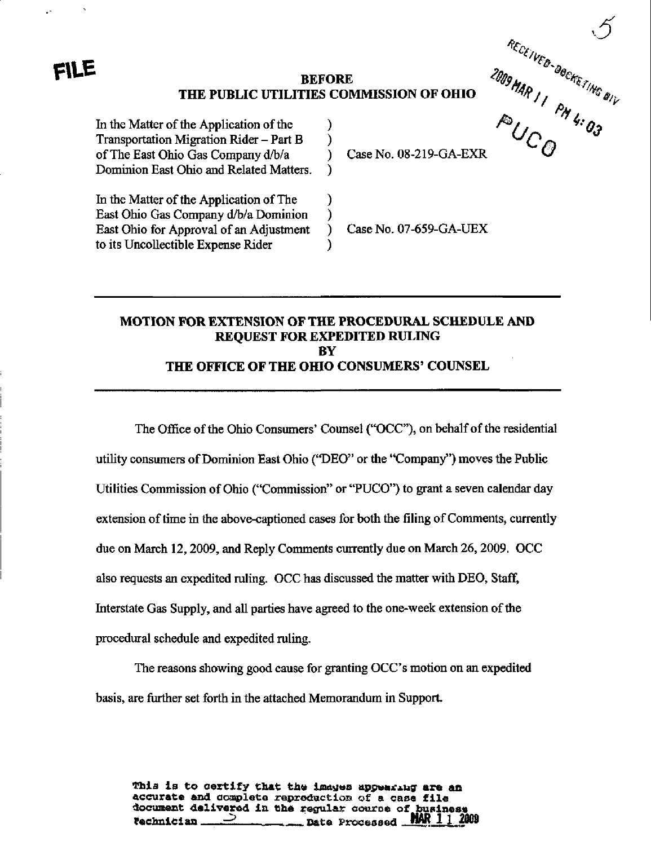#### **BEFORE** THE PUBLIC UTILITIES COMMISSION OF OHIO

)

 $\mathcal{E}$ 

 $\lambda$ 

℩

Ì

 $\lambda$ 

In the Matter of the Application of the Transportation Migration Rider - Part B of The East Ohio Gas Company d/b/a Dominion East Ohio and Related Matters.

In the Matter of the Application of The East Ohio Gas Company d/b/a Dominion East Ohio for Approval of an Adjustment to its Uncollectible Expense Rider

RECEIVED-DOCKETING DIV Case No. 08-219-GA-EXR

Case No. 07-659-GA-UEX

# **MOTION FOR EXTENSION OF THE PROCEDURAL SCHEDULE AND REQUEST FOR EXPEDITED RULING BY** THE OFFICE OF THE OHIO CONSUMERS' COUNSEL

The Office of the Ohio Consumers' Counsel ("OCC"), on behalf of the residential utility consumers of Dominion East Ohio ("DEO" or the "Company") moves the Public Utilities Commission of Ohio ("Commission" or "PUCO") to grant a seven calendar day extension of time in the above-captioned cases for both the filing of Comments, currently due on March 12, 2009, and Reply Comments currently due on March 26, 2009. OCC also requests an expedited ruling. OCC has discussed the matter with DEO, Staff, Interstate Gas Supply, and all parties have agreed to the one-week extension of the procedural schedule and expedited ruling.

The reasons showing good cause for granting OCC's motion on an expedited basis, are further set forth in the attached Memorandum in Support.

This is to certify that the images appearing are an accurate and complete reproduction of a case file document delivered in the regular course of busines rechnician. MAK Date Processed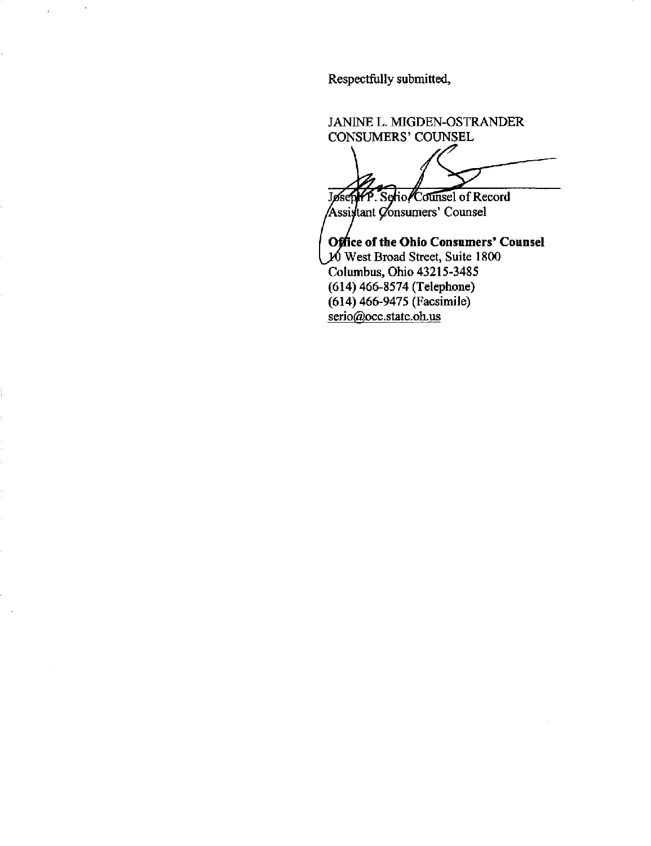Respectfully submitted,

JANINE L. MIGDEN-OSTRANDER CONSUMERS' COUNSEL Serio/Counsel of Record Jøse Assistant Consumers' Counsel

Office of the Ohio Consumers' Counsel West Broad Street, Suite 1800 Columbus, Ohio 43215-3485 (614) 466-8574 (Telephone) (614) 466-9475 (Facsimile) serio@occ.state.oh.us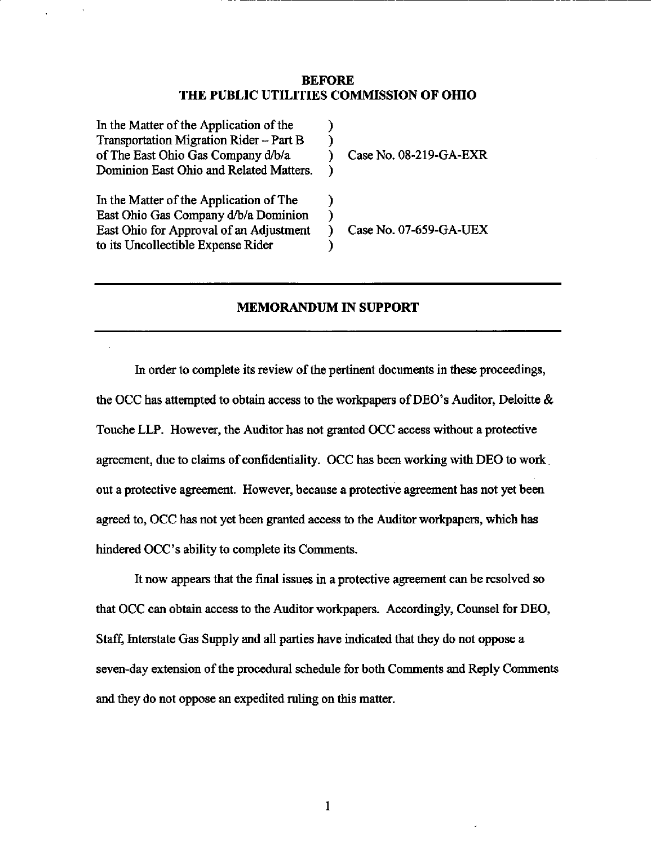#### BEFORE THE PUBLIC UTILITIES COMMISSION OF OHIO

| In the Matter of the Application of the<br>Transportation Migration Rider - Part B<br>of The East Ohio Gas Company d/b/a<br>Dominion East Ohio and Related Matters. | Case No. 08-219-GA-EXR |
|---------------------------------------------------------------------------------------------------------------------------------------------------------------------|------------------------|
| In the Matter of the Application of The<br>East Ohio Gas Company d/b/a Dominion<br>East Ohio for Approval of an Adjustment<br>to its Uncollectible Expense Rider    | Case No. 07-659-GA-UEX |

## MEMORANDUM IN SUPPORT

In order to complete its review of the pertinent documents in these proceedings, the OCC has attempted to obtain access to the workpapers of DEO's Auditor, Deloitte & Touche LLP. However, the Auditor has not granted OCC access without a protective agreement, due to claims of confidentiality. OCC has been working with DEO to work out a protective agreement. However, because a protective agreement has not yet been agreed to, OCC has not yet been granted access to the Auditor workpapers, which has hindered OCC's ability to complete its Comments.

It now appears that the final issues in a protective agreement can be resolved so that OCC can obtain access to the Auditor workpapers. Accordingly, Counsel for DEO, Staff, Interstate Gas Supply and all parties have indicated that they do not oppose a seven-day extension of the procedural schedule for both Comments and Reply Comments and they do not oppose an expedited ruling on this matter.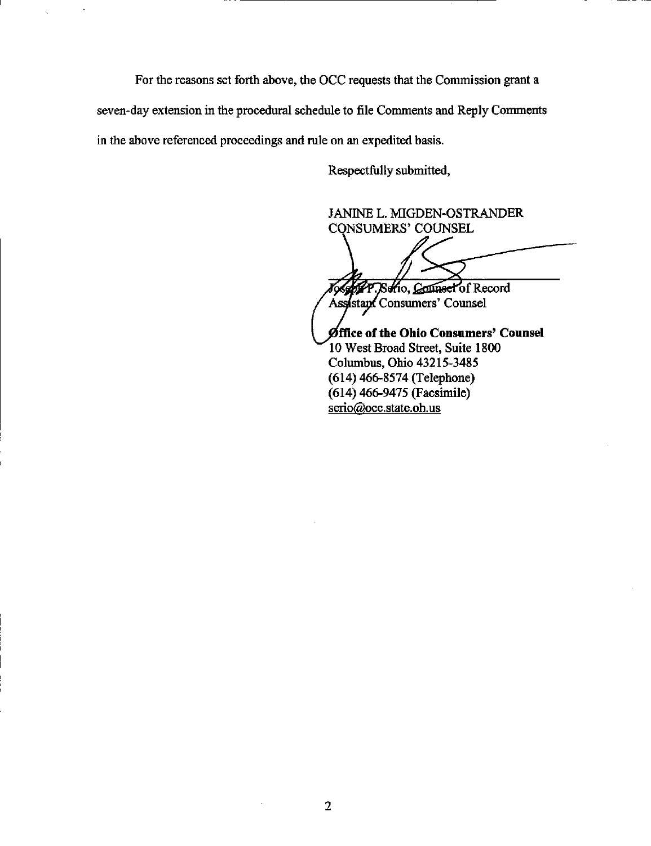For the reasons set forth above, the OCC requests that the Commission grant a

seven-day extension in the procedural schedule to file Comments and Reply Comments

in the above referenced proceedings and rule on an expedited basis.

Respectfully submitted,

JANINE L. MIGDEN-OSTRANDER **CONSUMERS' COUNSEL** 

P. Sofio, Counsel of Record ľо

Assistant Consumers' Counsel

Øffice of the Ohio Consumers' Counsel 10 West Broad Street, Suite 1800 Columbus, Ohio 43215-3485  $(614)$  466-8574 (Telephone) (614) 466-9475 (Facsimile) serio@occ.state.oh.us